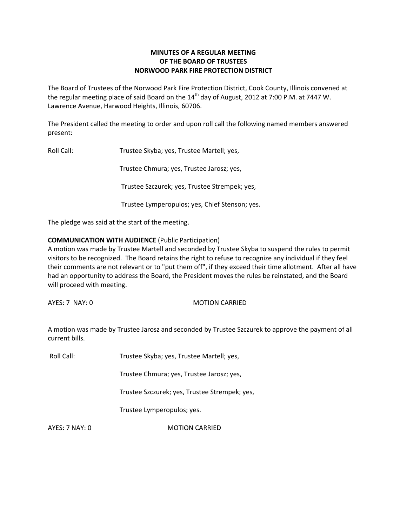# **MINUTES OF A REGULAR MEETING OF THE BOARD OF TRUSTEES NORWOOD PARK FIRE PROTECTION DISTRICT**

The Board of Trustees of the Norwood Park Fire Protection District, Cook County, Illinois convened at the regular meeting place of said Board on the  $14<sup>th</sup>$  day of August, 2012 at 7:00 P.M. at 7447 W. Lawrence Avenue, Harwood Heights, Illinois, 60706.

The President called the meeting to order and upon roll call the following named members answered present:

Roll Call: Trustee Skyba; yes, Trustee Martell; yes,

Trustee Chmura; yes, Trustee Jarosz; yes,

Trustee Szczurek; yes, Trustee Strempek; yes,

Trustee Lymperopulos; yes, Chief Stenson; yes.

The pledge was said at the start of the meeting.

### **COMMUNICATION WITH AUDIENCE** (Public Participation)

A motion was made by Trustee Martell and seconded by Trustee Skyba to suspend the rules to permit visitors to be recognized. The Board retains the right to refuse to recognize any individual if they feel their comments are not relevant or to "put them off", if they exceed their time allotment. After all have had an opportunity to address the Board, the President moves the rules be reinstated, and the Board will proceed with meeting.

AYES: 7 NAY: 0 MOTION CARRIED

A motion was made by Trustee Jarosz and seconded by Trustee Szczurek to approve the payment of all current bills.

Roll Call: Trustee Skyba; yes, Trustee Martell; yes,

Trustee Chmura; yes, Trustee Jarosz; yes,

Trustee Szczurek; yes, Trustee Strempek; yes,

Trustee Lymperopulos; yes.

AYES: 7 NAY: 0 MOTION CARRIED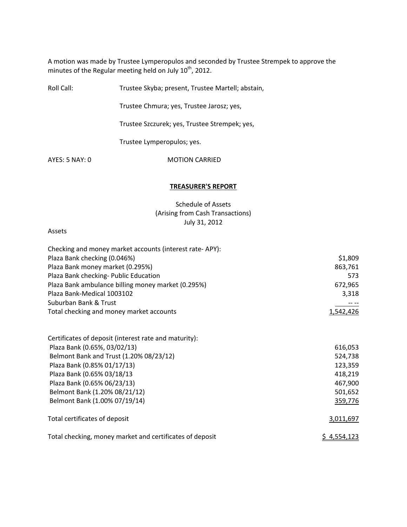A motion was made by Trustee Lymperopulos and seconded by Trustee Strempek to approve the minutes of the Regular meeting held on July  $10^{th}$ , 2012.

| Roll Call:     | Trustee Skyba; present, Trustee Martell; abstain, |  |
|----------------|---------------------------------------------------|--|
|                | Trustee Chmura; yes, Trustee Jarosz; yes,         |  |
|                | Trustee Szczurek; yes, Trustee Strempek; yes,     |  |
|                | Trustee Lymperopulos; yes.                        |  |
| AYES: 5 NAY: 0 | <b>MOTION CARRIED</b>                             |  |
|                |                                                   |  |

## **TREASURER'S REPORT**

Schedule of Assets (Arising from Cash Transactions) July 31, 2012

## Assets

| Checking and money market accounts (interest rate-APY):  |                                               |
|----------------------------------------------------------|-----------------------------------------------|
| Plaza Bank checking (0.046%)                             | \$1,809<br>863,761<br>573<br>672,965<br>3,318 |
| Plaza Bank money market (0.295%)                         |                                               |
| Plaza Bank checking- Public Education                    |                                               |
| Plaza Bank ambulance billing money market (0.295%)       |                                               |
| Plaza Bank-Medical 1003102                               |                                               |
| Suburban Bank & Trust                                    |                                               |
| Total checking and money market accounts                 | 1,542,426                                     |
| Certificates of deposit (interest rate and maturity):    |                                               |
| Plaza Bank (0.65%, 03/02/13)                             | 616,053                                       |
| Belmont Bank and Trust (1.20% 08/23/12)                  | 524,738                                       |
| Plaza Bank (0.85% 01/17/13)                              | 123,359                                       |
| Plaza Bank (0.65% 03/18/13                               | 418,219                                       |
| Plaza Bank (0.65% 06/23/13)                              | 467,900                                       |
| Belmont Bank (1.20% 08/21/12)                            | 501,652                                       |
| Belmont Bank (1.00% 07/19/14)                            | 359,776                                       |
| Total certificates of deposit                            | 3,011,697                                     |
| Total checking, money market and certificates of deposit | <u>\$4,554,123</u>                            |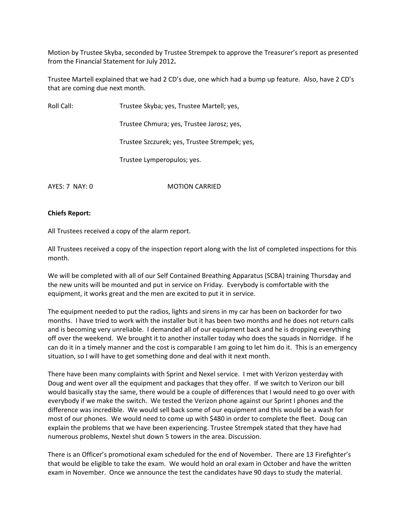Motion by Trustee Skyba, seconded by Trustee Strempek to approve the Treasurer's report as presented from the Financial Statement for July 2012**.**

Trustee Martell explained that we had 2 CD's due, one which had a bump up feature. Also, have 2 CD's that are coming due next month.

Roll Call: Trustee Skyba; yes, Trustee Martell; yes,

Trustee Chmura; yes, Trustee Jarosz; yes,

Trustee Szczurek; yes, Trustee Strempek; yes,

Trustee Lymperopulos; yes.

AYES: 7 NAY: 0 MOTION CARRIED

#### **Chiefs Report:**

All Trustees received a copy of the alarm report.

All Trustees received a copy of the inspection report along with the list of completed inspections for this month.

We will be completed with all of our Self Contained Breathing Apparatus (SCBA) training Thursday and the new units will be mounted and put in service on Friday. Everybody is comfortable with the equipment, it works great and the men are excited to put it in service.

The equipment needed to put the radios, lights and sirens in my car has been on backorder for two months. I have tried to work with the installer but it has been two months and he does not return calls and is becoming very unreliable. I demanded all of our equipment back and he is dropping everything off over the weekend. We brought it to another installer today who does the squads in Norridge. If he can do it in a timely manner and the cost is comparable I am going to let him do it. This is an emergency situation, so I will have to get something done and deal with it next month.

There have been many complaints with Sprint and Nexel service. I met with Verizon yesterday with Doug and went over all the equipment and packages that they offer. If we switch to Verizon our bill would basically stay the same, there would be a couple of differences that I would need to go over with everybody if we make the switch. We tested the Verizon phone against our Sprint I phones and the difference was incredible. We would sell back some of our equipment and this would be a wash for most of our phones. We would need to come up with \$480 in order to complete the fleet. Doug can explain the problems that we have been experiencing. Trustee Strempek stated that they have had numerous problems, Nextel shut down 5 towers in the area. Discussion.

There is an Officer's promotional exam scheduled for the end of November. There are 13 Firefighter's that would be eligible to take the exam. We would hold an oral exam in October and have the written exam in November. Once we announce the test the candidates have 90 days to study the material.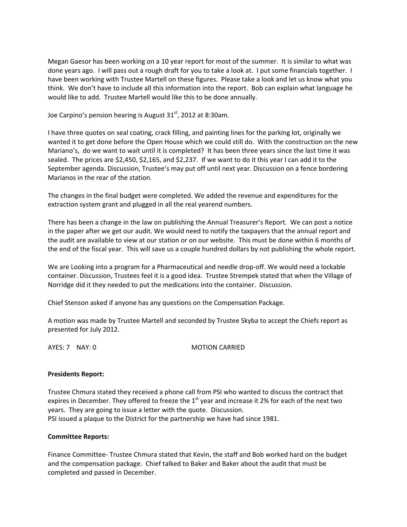Megan Gaesor has been working on a 10 year report for most of the summer. It is similar to what was done years ago. I will pass out a rough draft for you to take a look at. I put some financials together. I have been working with Trustee Martell on these figures. Please take a look and let us know what you think. We don't have to include all this information into the report. Bob can explain what language he would like to add. Trustee Martell would like this to be done annually.

Joe Carpino's pension hearing is August 31 $^{\rm st}$ , 2012 at 8:30am.

I have three quotes on seal coating, crack filling, and painting lines for the parking lot, originally we wanted it to get done before the Open House which we could still do. With the construction on the new Mariano's, do we want to wait until it is completed? It has been three years since the last time it was sealed. The prices are \$2,450, \$2,165, and \$2,237. If we want to do it this year I can add it to the September agenda. Discussion, Trustee's may put off until next year. Discussion on a fence bordering Marianos in the rear of the station.

The changes in the final budget were completed. We added the revenue and expenditures for the extraction system grant and plugged in all the real yearend numbers.

There has been a change in the law on publishing the Annual Treasurer's Report. We can post a notice in the paper after we get our audit. We would need to notify the taxpayers that the annual report and the audit are available to view at our station or on our website. This must be done within 6 months of the end of the fiscal year. This will save us a couple hundred dollars by not publishing the whole report.

We are Looking into a program for a Pharmaceutical and needle drop-off. We would need a lockable container. Discussion, Trustees feel it is a good idea. Trustee Strempek stated that when the Village of Norridge did it they needed to put the medications into the container. Discussion.

Chief Stenson asked if anyone has any questions on the Compensation Package.

A motion was made by Trustee Martell and seconded by Trustee Skyba to accept the Chiefs report as presented for July 2012.

AYES: 7 NAY: 0 MOTION CARRIED

#### **Presidents Report:**

Trustee Chmura stated they received a phone call from PSI who wanted to discuss the contract that expires in December. They offered to freeze the  $1<sup>st</sup>$  year and increase it 2% for each of the next two years. They are going to issue a letter with the quote. Discussion. PSI issued a plaque to the District for the partnership we have had since 1981.

#### **Committee Reports:**

Finance Committee‐ Trustee Chmura stated that Kevin, the staff and Bob worked hard on the budget and the compensation package. Chief talked to Baker and Baker about the audit that must be completed and passed in December.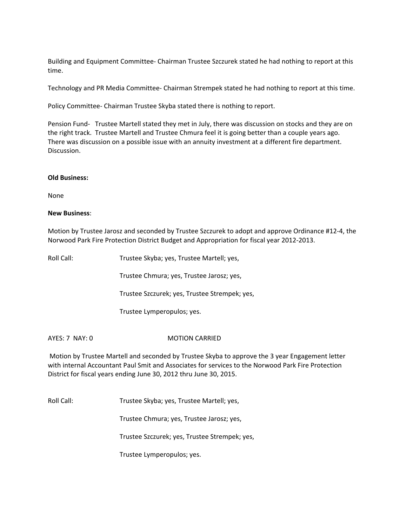Building and Equipment Committee‐ Chairman Trustee Szczurek stated he had nothing to report at this time.

Technology and PR Media Committee‐ Chairman Strempek stated he had nothing to report at this time.

Policy Committee‐ Chairman Trustee Skyba stated there is nothing to report.

Pension Fund- Trustee Martell stated they met in July, there was discussion on stocks and they are on the right track. Trustee Martell and Trustee Chmura feel it is going better than a couple years ago. There was discussion on a possible issue with an annuity investment at a different fire department. Discussion.

#### **Old Business:**

None

### **New Business**:

Motion by Trustee Jarosz and seconded by Trustee Szczurek to adopt and approve Ordinance #12‐4, the Norwood Park Fire Protection District Budget and Appropriation for fiscal year 2012‐2013.

Roll Call: Trustee Skyba; yes, Trustee Martell; yes,

Trustee Chmura; yes, Trustee Jarosz; yes,

Trustee Szczurek; yes, Trustee Strempek; yes,

Trustee Lymperopulos; yes.

AYES: 7 NAY: 0 MOTION CARRIED

Motion by Trustee Martell and seconded by Trustee Skyba to approve the 3 year Engagement letter with internal Accountant Paul Smit and Associates for services to the Norwood Park Fire Protection District for fiscal years ending June 30, 2012 thru June 30, 2015.

Roll Call: Trustee Skyba; yes, Trustee Martell; yes,

Trustee Chmura; yes, Trustee Jarosz; yes,

Trustee Szczurek; yes, Trustee Strempek; yes,

Trustee Lymperopulos; yes.